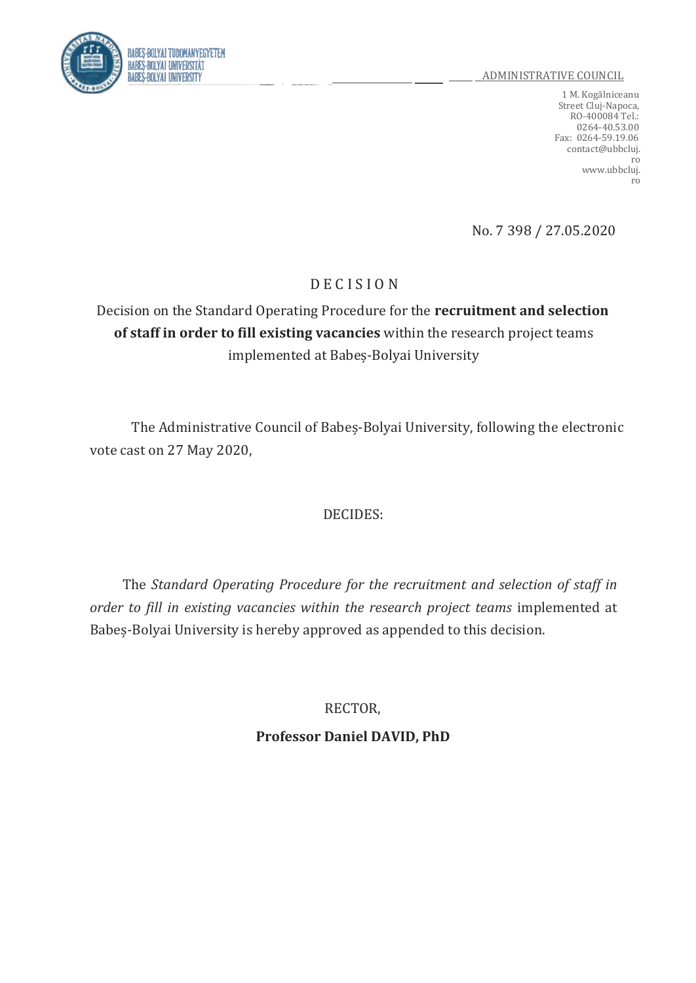#### ADMINISTRATIVE COUNCIL



1 M. Kogălniceanu Street Cluj-Napoca, RO-400084 Tel.: 0264-40.53.00 Fax: 0264-59.19.06 [contact@ubbcluj.](mailto:contact@ubbcluj.ro) [ro](mailto:contact@ubbcluj.ro) [www.ubbcluj.](http://www.ubbcluj.ro/) [ro](http://www.ubbcluj.ro/)

No. 7 398 / 27.05.2020

## D E C I S I O N

# Decision on the Standard Operating Procedure for the **recruitment and selection of staff in order to fill existing vacancies** within the research project teams implemented at Babeș-Bolyai University

The Administrative Council of Babeș-Bolyai University, following the electronic vote cast on 27 May 2020,

### DECIDES:

The *Standard Operating Procedure for the recruitment and selection of staff in order to fill in existing vacancies within the research project teams* implemented at Babeș-Bolyai University is hereby approved as appended to this decision.

> RECTOR, **Professor Daniel DAVID, PhD**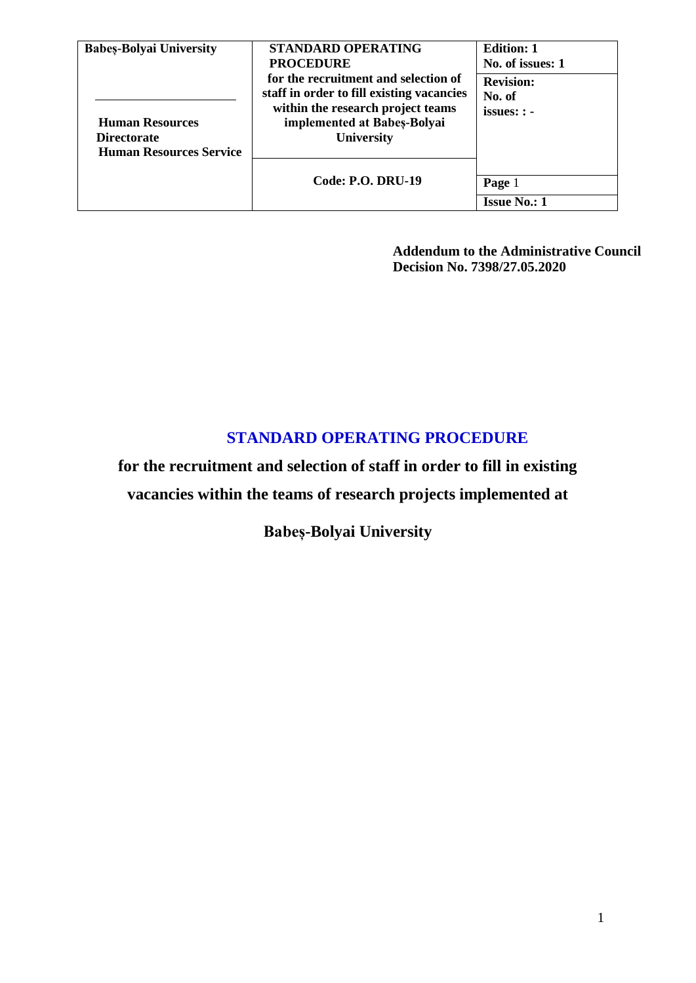| <b>Babes-Bolyai University</b><br><b>Human Resources</b><br><b>Directorate</b><br><b>Human Resources Service</b> | <b>STANDARD OPERATING</b><br><b>PROCEDURE</b><br>for the recruitment and selection of<br>staff in order to fill existing vacancies<br>within the research project teams<br>implemented at Babes-Bolyai<br><b>University</b> | <b>Edition: 1</b><br>No. of issues: 1<br><b>Revision:</b><br>No. of<br>$issues: : -$ |
|------------------------------------------------------------------------------------------------------------------|-----------------------------------------------------------------------------------------------------------------------------------------------------------------------------------------------------------------------------|--------------------------------------------------------------------------------------|
|                                                                                                                  | <b>Code: P.O. DRU-19</b>                                                                                                                                                                                                    | Page 1<br><b>Issue No.: 1</b>                                                        |

**Addendum to the Administrative Council Decision No. 7398/27.05.2020**

# **STANDARD OPERATING PROCEDURE**

**for the recruitment and selection of staff in order to fill in existing** 

**vacancies within the teams of research projects implemented at** 

**Babeș-Bolyai University**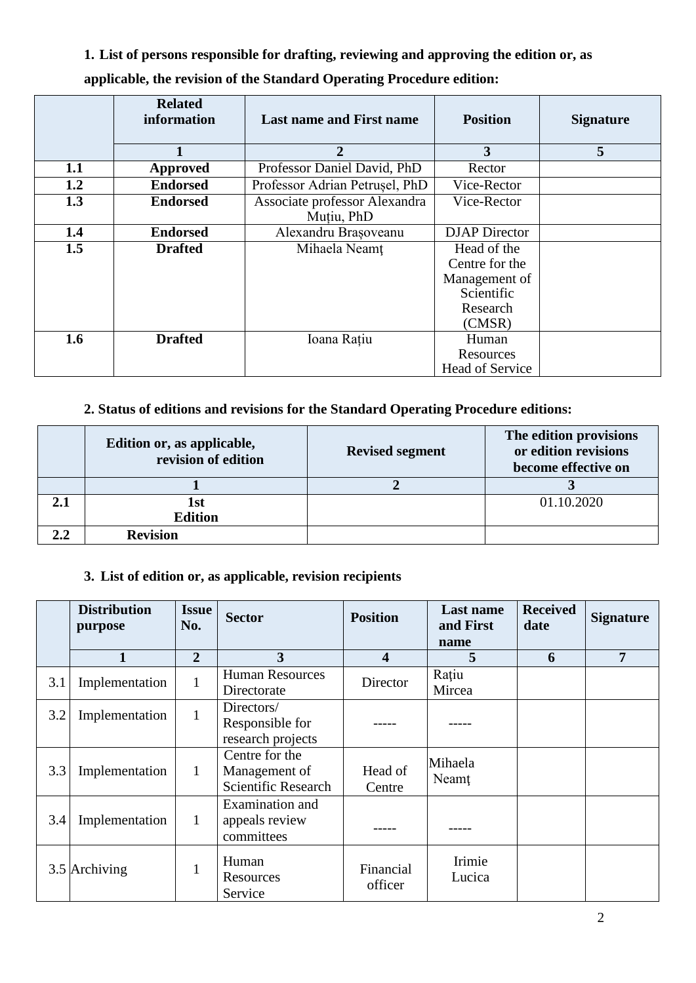**1. List of persons responsible for drafting, reviewing and approving the edition or, as applicable, the revision of the Standard Operating Procedure edition:**

|     | <b>Related</b><br>information | <b>Last name and First name</b>             | <b>Position</b>                                                                    | <b>Signature</b>        |
|-----|-------------------------------|---------------------------------------------|------------------------------------------------------------------------------------|-------------------------|
|     |                               | $\mathfrak{D}$                              | 3                                                                                  | $\overline{\mathbf{5}}$ |
| 1.1 | Approved                      | Professor Daniel David, PhD                 | Rector                                                                             |                         |
| 1.2 | <b>Endorsed</b>               | Professor Adrian Petrusel, PhD              | Vice-Rector                                                                        |                         |
| 1.3 | <b>Endorsed</b>               | Associate professor Alexandra<br>Mutiu, PhD | Vice-Rector                                                                        |                         |
| 1.4 | <b>Endorsed</b>               | Alexandru Brașoveanu                        | <b>DJAP</b> Director                                                               |                         |
| 1.5 | <b>Drafted</b>                | Mihaela Neamț                               | Head of the<br>Centre for the<br>Management of<br>Scientific<br>Research<br>(CMSR) |                         |
| 1.6 | <b>Drafted</b>                | Ioana Rațiu                                 | Human<br>Resources<br>Head of Service                                              |                         |

## **2. Status of editions and revisions for the Standard Operating Procedure editions:**

| Edition or, as applicable,<br>revision of edition | <b>Revised segment</b> | The edition provisions<br>or edition revisions<br>become effective on |
|---------------------------------------------------|------------------------|-----------------------------------------------------------------------|
|                                                   |                        |                                                                       |
| lst<br><b>Edition</b>                             |                        | 01.10.2020                                                            |
| <b>Revision</b>                                   |                        |                                                                       |

## **3. List of edition or, as applicable, revision recipients**

|     | <b>Distribution</b><br>purpose | <b>Issue</b><br>No. | <b>Sector</b>                                                 | <b>Position</b>         | Last name<br>and First | <b>Received</b><br>date | <b>Signature</b> |
|-----|--------------------------------|---------------------|---------------------------------------------------------------|-------------------------|------------------------|-------------------------|------------------|
|     |                                |                     |                                                               |                         | name                   |                         |                  |
|     | 1                              | $\overline{2}$      | 3                                                             | $\overline{\mathbf{4}}$ | 5                      | 6                       | $\overline{7}$   |
| 3.1 | Implementation                 |                     | <b>Human Resources</b><br>Directorate                         | Director                | Rațiu<br>Mircea        |                         |                  |
| 3.2 | Implementation                 |                     | Directors/<br>Responsible for<br>research projects            |                         |                        |                         |                  |
| 3.3 | Implementation                 | 1                   | Centre for the<br>Management of<br><b>Scientific Research</b> | Head of<br>Centre       | Mihaela<br>Neamt       |                         |                  |
| 3.4 | Implementation                 |                     | Examination and<br>appeals review<br>committees               |                         |                        |                         |                  |
|     | 3.5 Archiving                  |                     | Human<br>Resources<br>Service                                 | Financial<br>officer    | Irimie<br>Lucica       |                         |                  |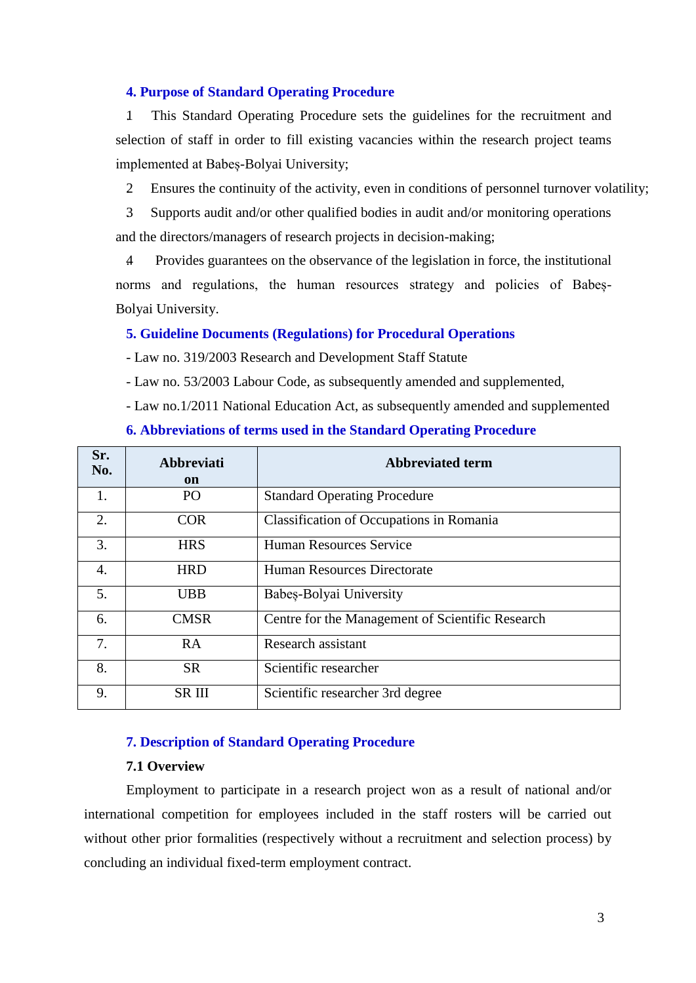### **4. Purpose of Standard Operating Procedure**

1. This Standard Operating Procedure sets the guidelines for the recruitment and selection of staff in order to fill existing vacancies within the research project teams implemented at Babeș-Bolyai University;

2. Ensures the continuity of the activity, even in conditions of personnel turnover volatility;

3. Supports audit and/or other qualified bodies in audit and/or monitoring operations and the directors/managers of research projects in decision-making;

4. Provides guarantees on the observance of the legislation in force, the institutional norms and regulations, the human resources strategy and policies of Babeș-Bolyai University.

### **5. Guideline Documents (Regulations) for Procedural Operations**

- Law no. 319/2003 Research and Development Staff Statute

- Law no. 53/2003 Labour Code, as subsequently amended and supplemented,

- Law no.1/2011 National Education Act, as subsequently amended and supplemented

| <b>6. Abbreviations of terms used in the Standard Operating Procedure</b> |  |  |
|---------------------------------------------------------------------------|--|--|
|---------------------------------------------------------------------------|--|--|

| Sr.<br>No.       | Abbreviati<br><b>on</b> | <b>Abbreviated term</b>                          |
|------------------|-------------------------|--------------------------------------------------|
| 1.               | P <sub>O</sub>          | <b>Standard Operating Procedure</b>              |
| 2.               | <b>COR</b>              | Classification of Occupations in Romania         |
| 3.               | <b>HRS</b>              | Human Resources Service                          |
| $\overline{4}$ . | <b>HRD</b>              | Human Resources Directorate                      |
| 5.               | UBB                     | Babes-Bolyai University                          |
| 6.               | <b>CMSR</b>             | Centre for the Management of Scientific Research |
| 7.               | RA                      | Research assistant                               |
| 8.               | <b>SR</b>               | Scientific researcher                            |
| 9.               | SR III                  | Scientific researcher 3rd degree                 |

### **7. Description of Standard Operating Procedure**

#### **7.1 Overview**

Employment to participate in a research project won as a result of national and/or international competition for employees included in the staff rosters will be carried out without other prior formalities (respectively without a recruitment and selection process) by concluding an individual fixed-term employment contract.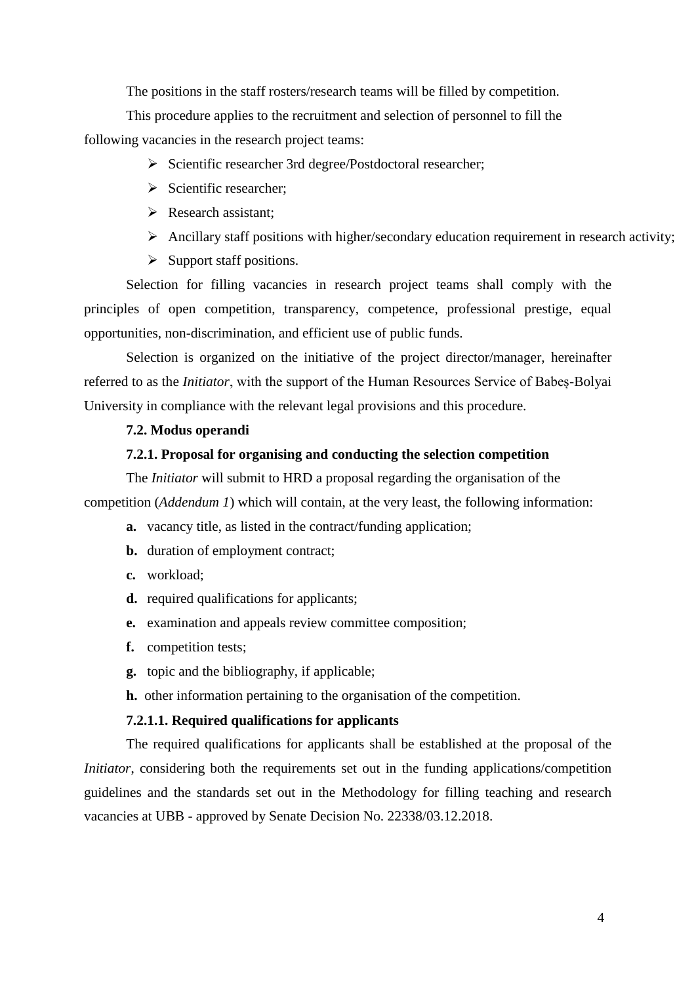The positions in the staff rosters/research teams will be filled by competition.

This procedure applies to the recruitment and selection of personnel to fill the following vacancies in the research project teams:

- $\triangleright$  Scientific researcher 3rd degree/Postdoctoral researcher;
- $\triangleright$  Scientific researcher;
- Research assistant;
- $\triangleright$  Ancillary staff positions with higher/secondary education requirement in research activity;
- $\triangleright$  Support staff positions.

Selection for filling vacancies in research project teams shall comply with the principles of open competition, transparency, competence, professional prestige, equal opportunities, non-discrimination, and efficient use of public funds.

Selection is organized on the initiative of the project director/manager, hereinafter referred to as the *Initiator*, with the support of the Human Resources Service of Babeș-Bolyai University in compliance with the relevant legal provisions and this procedure.

### **7.2. Modus operandi**

#### **7.2.1. Proposal for organising and conducting the selection competition**

The *Initiator* will submit to HRD a proposal regarding the organisation of the competition (*Addendum 1*) which will contain, at the very least, the following information:

- **a.** vacancy title, as listed in the contract/funding application;
- **b.** duration of employment contract;
- **c.** workload;
- **d.** required qualifications for applicants;
- **e.** examination and appeals review committee composition;
- **f.** competition tests;
- **g.** topic and the bibliography, if applicable;
- **h.** other information pertaining to the organisation of the competition.

### **7.2.1.1. Required qualifications for applicants**

The required qualifications for applicants shall be established at the proposal of the *Initiator*, considering both the requirements set out in the funding applications/competition guidelines and the standards set out in the Methodology for filling teaching and research vacancies at UBB - approved by Senate Decision No. 22338/03.12.2018.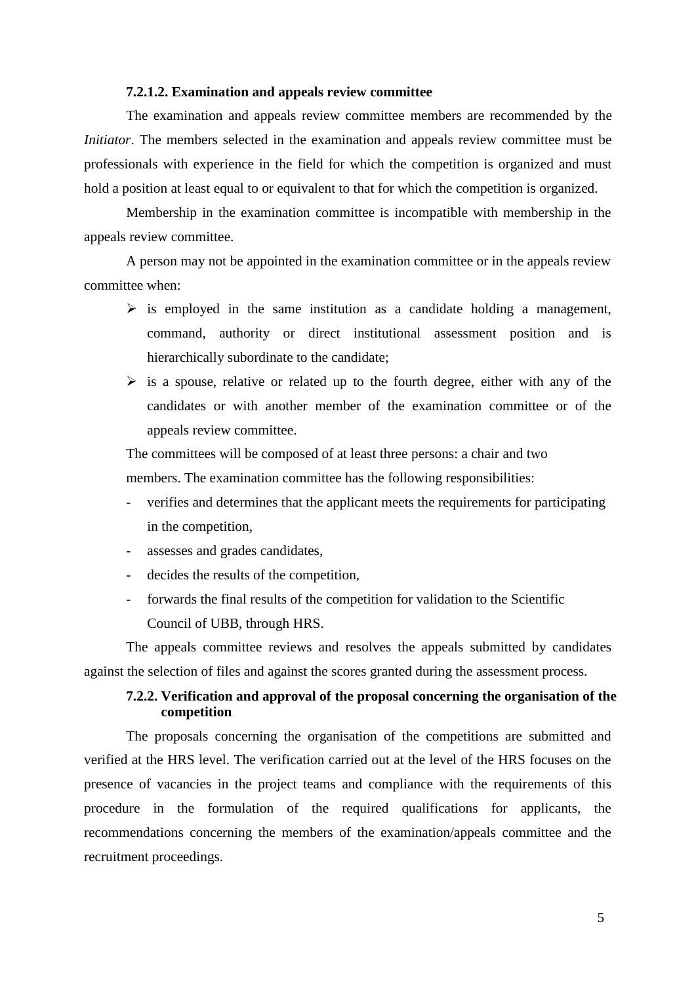#### **7.2.1.2. Examination and appeals review committee**

The examination and appeals review committee members are recommended by the *Initiator*. The members selected in the examination and appeals review committee must be professionals with experience in the field for which the competition is organized and must hold a position at least equal to or equivalent to that for which the competition is organized.

Membership in the examination committee is incompatible with membership in the appeals review committee.

A person may not be appointed in the examination committee or in the appeals review committee when:

- $\triangleright$  is employed in the same institution as a candidate holding a management, command, authority or direct institutional assessment position and is hierarchically subordinate to the candidate;
- $\triangleright$  is a spouse, relative or related up to the fourth degree, either with any of the candidates or with another member of the examination committee or of the appeals review committee.

The committees will be composed of at least three persons: a chair and two members. The examination committee has the following responsibilities:

- verifies and determines that the applicant meets the requirements for participating in the competition,
- assesses and grades candidates,
- decides the results of the competition,
- forwards the final results of the competition for validation to the Scientific Council of UBB, through HRS.

The appeals committee reviews and resolves the appeals submitted by candidates against the selection of files and against the scores granted during the assessment process.

### **7.2.2. Verification and approval of the proposal concerning the organisation of the competition**

The proposals concerning the organisation of the competitions are submitted and verified at the HRS level. The verification carried out at the level of the HRS focuses on the presence of vacancies in the project teams and compliance with the requirements of this procedure in the formulation of the required qualifications for applicants, the recommendations concerning the members of the examination/appeals committee and the recruitment proceedings.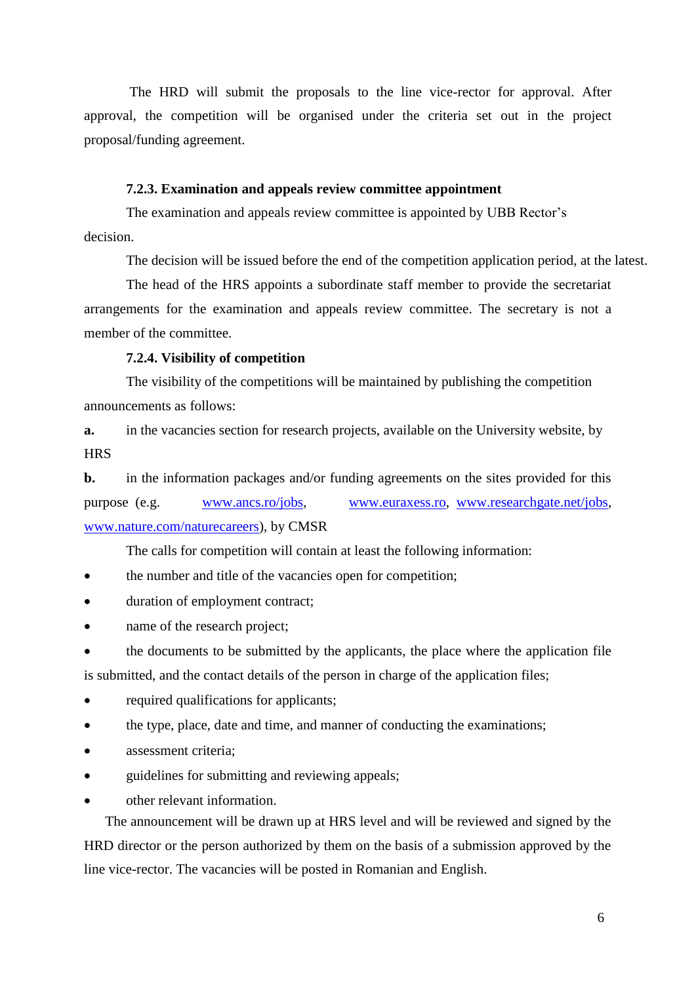The HRD will submit the proposals to the line vice-rector for approval. After approval, the competition will be organised under the criteria set out in the project proposal/funding agreement.

### **7.2.3. Examination and appeals review committee appointment**

The examination and appeals review committee is appointed by UBB Rector's decision.

The decision will be issued before the end of the competition application period, at the latest.

The head of the HRS appoints a subordinate staff member to provide the secretariat arrangements for the examination and appeals review committee. The secretary is not a member of the committee.

#### **7.2.4. Visibility of competition**

The visibility of the competitions will be maintained by publishing the competition announcements as follows:

**a.** in the vacancies section for research projects, available on the University website, by **HRS** 

**b.** in the information packages and/or funding agreements on the sites provided for this purpose (e.g. [www.ancs.ro/jobs,](http://www.ancs.ro/jobs) [www.euraxess.ro,](http://www.euraxess.ro/) [www.researchgate.net/jobs](http://www.researchgate.net/jobs)[,](http://www.nature.com/naturecareers) [www.nature.com/naturecareers\)](http://www.nature.com/naturecareers), by CMSR

The calls for competition will contain at least the following information:

- the number and title of the vacancies open for competition;
- duration of employment contract;
- name of the research project;
- the documents to be submitted by the applicants, the place where the application file

is submitted, and the contact details of the person in charge of the application files;

- required qualifications for applicants;
- the type, place, date and time, and manner of conducting the examinations;
- assessment criteria;
- guidelines for submitting and reviewing appeals;
- other relevant information.

The announcement will be drawn up at HRS level and will be reviewed and signed by the HRD director or the person authorized by them on the basis of a submission approved by the line vice-rector. The vacancies will be posted in Romanian and English.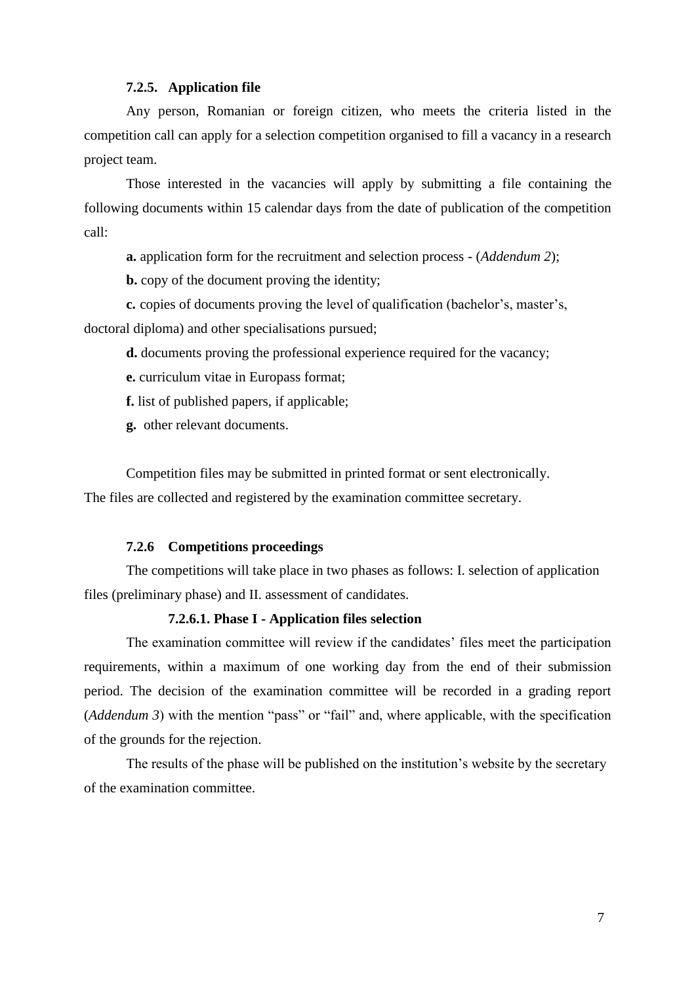#### **7.2.5. Application file**

Any person, Romanian or foreign citizen, who meets the criteria listed in the competition call can apply for a selection competition organised to fill a vacancy in a research project team.

Those interested in the vacancies will apply by submitting a file containing the following documents within 15 calendar days from the date of publication of the competition call:

**a.** application form for the recruitment and selection process - (*Addendum 2*);

**b.** copy of the document proving the identity;

**c.** copies of documents proving the level of qualification (bachelor's, master's, doctoral diploma) and other specialisations pursued;

**d.** documents proving the professional experience required for the vacancy;

**e.** curriculum vitae in Europass format;

**f.** list of published papers, if applicable;

**g.** other relevant documents.

Competition files may be submitted in printed format or sent electronically. The files are collected and registered by the examination committee secretary.

#### **7.2.6 Competitions proceedings**

The competitions will take place in two phases as follows: I. selection of application files (preliminary phase) and II. assessment of candidates.

#### **7.2.6.1. Phase I - Application files selection**

The examination committee will review if the candidates' files meet the participation requirements, within a maximum of one working day from the end of their submission period. The decision of the examination committee will be recorded in a grading report (*Addendum 3*) with the mention "pass" or "fail" and, where applicable, with the specification of the grounds for the rejection.

The results of the phase will be published on the institution's website by the secretary of the examination committee.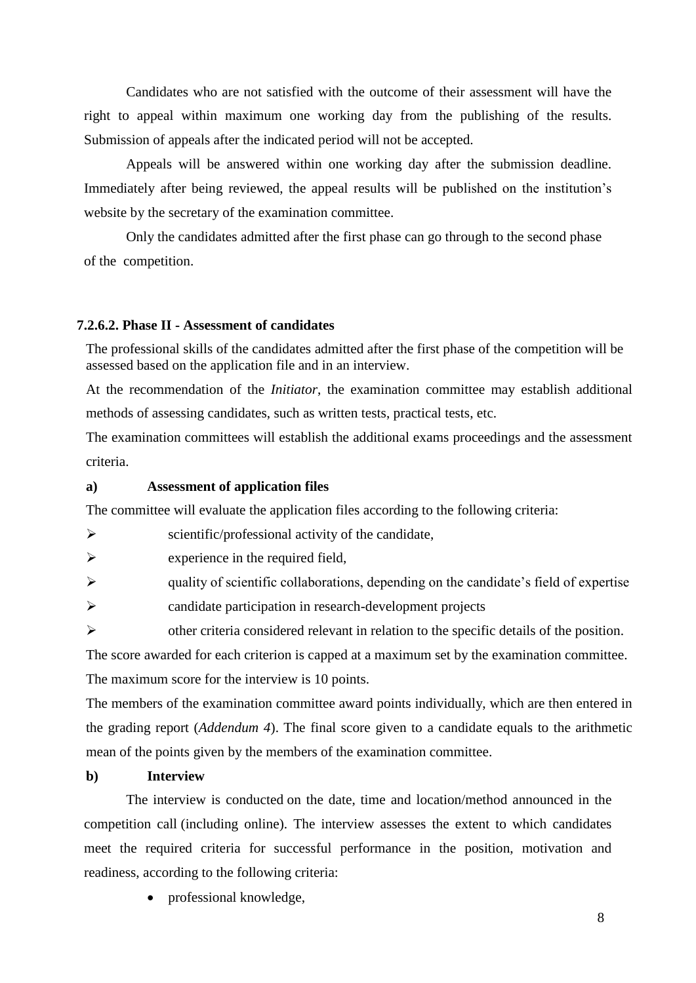Candidates who are not satisfied with the outcome of their assessment will have the right to appeal within maximum one working day from the publishing of the results. Submission of appeals after the indicated period will not be accepted.

Appeals will be answered within one working day after the submission deadline. Immediately after being reviewed, the appeal results will be published on the institution's website by the secretary of the examination committee.

Only the candidates admitted after the first phase can go through to the second phase of the competition.

### **7.2.6.2. Phase II - Assessment of candidates**

The professional skills of the candidates admitted after the first phase of the competition will be assessed based on the application file and in an interview.

At the recommendation of the *Initiator*, the examination committee may establish additional methods of assessing candidates, such as written tests, practical tests, etc.

The examination committees will establish the additional exams proceedings and the assessment criteria.

#### **a) Assessment of application files**

The committee will evaluate the application files according to the following criteria:

 $\triangleright$  scientific/professional activity of the candidate,

- $\triangleright$  experience in the required field,
- $\triangleright$  quality of scientific collaborations, depending on the candidate's field of expertise
- candidate participation in research-development projects
- other criteria considered relevant in relation to the specific details of the position.

The score awarded for each criterion is capped at a maximum set by the examination committee. The maximum score for the interview is 10 points.

The members of the examination committee award points individually, which are then entered in the grading report (*Addendum 4*). The final score given to a candidate equals to the arithmetic mean of the points given by the members of the examination committee.

#### **b) Interview**

The interview is conducted on the date, time and location/method announced in the competition call (including online). The interview assesses the extent to which candidates meet the required criteria for successful performance in the position, motivation and readiness, according to the following criteria:

• professional knowledge,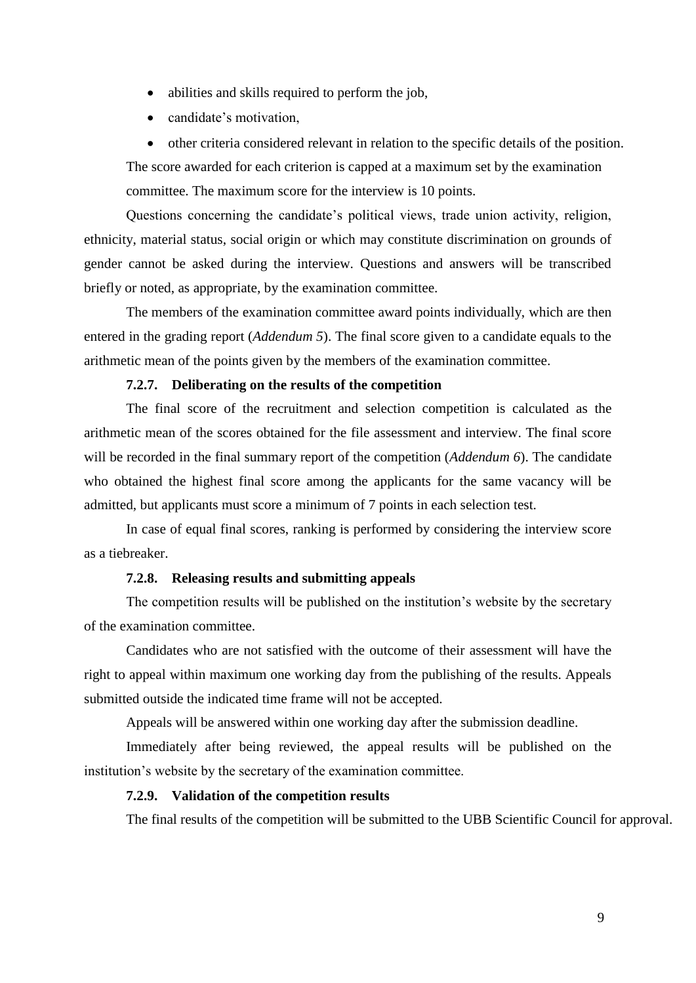- abilities and skills required to perform the job,
- candidate's motivation,

 other criteria considered relevant in relation to the specific details of the position. The score awarded for each criterion is capped at a maximum set by the examination committee. The maximum score for the interview is 10 points.

Questions concerning the candidate's political views, trade union activity, religion, ethnicity, material status, social origin or which may constitute discrimination on grounds of gender cannot be asked during the interview. Questions and answers will be transcribed briefly or noted, as appropriate, by the examination committee.

The members of the examination committee award points individually, which are then entered in the grading report (*Addendum 5*). The final score given to a candidate equals to the arithmetic mean of the points given by the members of the examination committee.

#### **7.2.7. Deliberating on the results of the competition**

The final score of the recruitment and selection competition is calculated as the arithmetic mean of the scores obtained for the file assessment and interview. The final score will be recorded in the final summary report of the competition (*Addendum 6*). The candidate who obtained the highest final score among the applicants for the same vacancy will be admitted, but applicants must score a minimum of 7 points in each selection test.

In case of equal final scores, ranking is performed by considering the interview score as a tiebreaker.

### **7.2.8. Releasing results and submitting appeals**

The competition results will be published on the institution's website by the secretary of the examination committee.

Candidates who are not satisfied with the outcome of their assessment will have the right to appeal within maximum one working day from the publishing of the results. Appeals submitted outside the indicated time frame will not be accepted.

Appeals will be answered within one working day after the submission deadline.

Immediately after being reviewed, the appeal results will be published on the institution's website by the secretary of the examination committee.

#### **7.2.9. Validation of the competition results**

The final results of the competition will be submitted to the UBB Scientific Council for approval.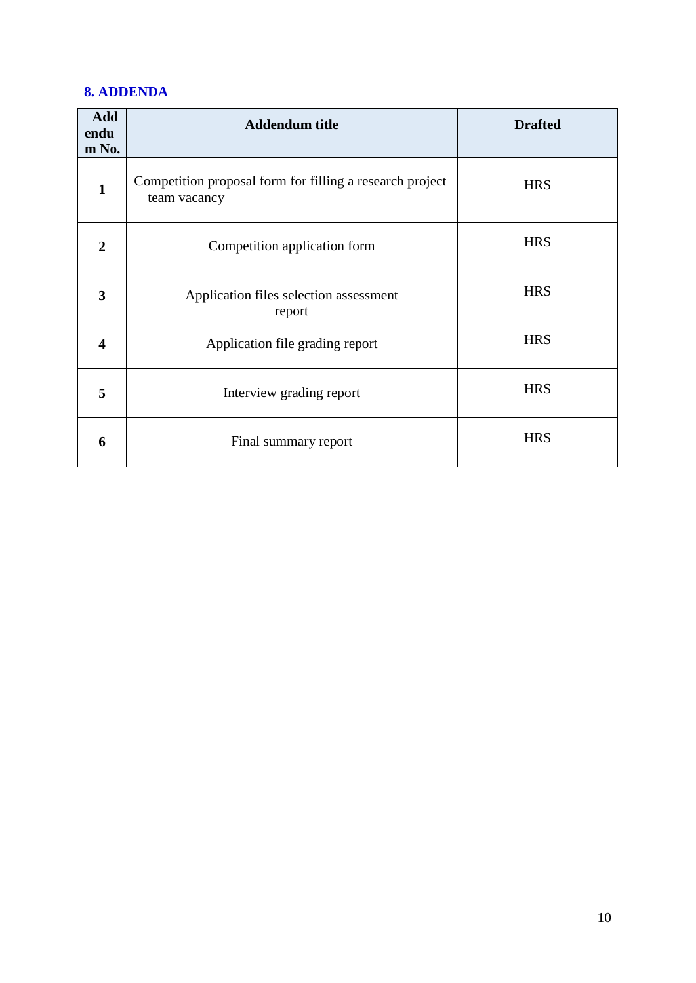## **8. ADDENDA**

| <b>Add</b><br>endu<br>m No. | <b>Addendum title</b>                                                    | <b>Drafted</b> |
|-----------------------------|--------------------------------------------------------------------------|----------------|
| $\mathbf{1}$                | Competition proposal form for filling a research project<br>team vacancy | <b>HRS</b>     |
| $\overline{2}$              | Competition application form                                             | <b>HRS</b>     |
| $\overline{\mathbf{3}}$     | Application files selection assessment<br>report                         | <b>HRS</b>     |
| $\overline{\mathbf{4}}$     | Application file grading report                                          | <b>HRS</b>     |
| 5                           | Interview grading report                                                 | <b>HRS</b>     |
| 6                           | Final summary report                                                     | <b>HRS</b>     |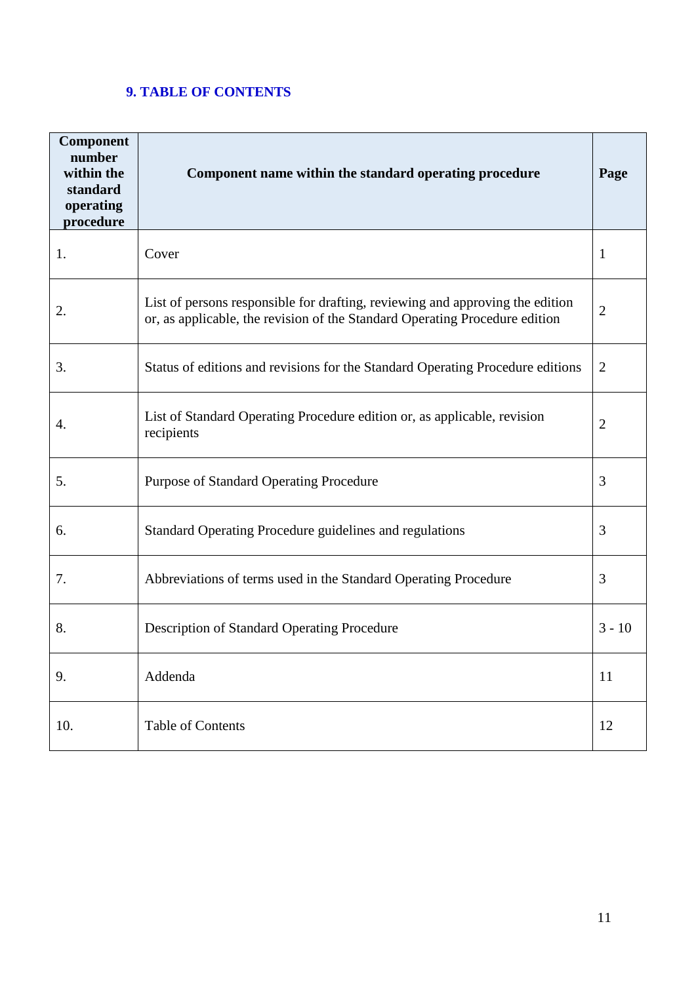## **9. TABLE OF CONTENTS**

| <b>Component</b><br>number<br>within the<br>standard<br>operating<br>procedure | Component name within the standard operating procedure                                                                                                       | Page           |
|--------------------------------------------------------------------------------|--------------------------------------------------------------------------------------------------------------------------------------------------------------|----------------|
| 1.                                                                             | Cover                                                                                                                                                        | $\mathbf{1}$   |
| 2.                                                                             | List of persons responsible for drafting, reviewing and approving the edition<br>or, as applicable, the revision of the Standard Operating Procedure edition | $\overline{2}$ |
| 3.                                                                             | Status of editions and revisions for the Standard Operating Procedure editions                                                                               | $\overline{2}$ |
| 4.                                                                             | List of Standard Operating Procedure edition or, as applicable, revision<br>recipients                                                                       | $\overline{2}$ |
| 5.                                                                             | <b>Purpose of Standard Operating Procedure</b>                                                                                                               | 3              |
| 6.                                                                             | Standard Operating Procedure guidelines and regulations                                                                                                      | 3              |
| 7.                                                                             | Abbreviations of terms used in the Standard Operating Procedure                                                                                              | 3              |
| 8.                                                                             | Description of Standard Operating Procedure                                                                                                                  | $3 - 10$       |
| 9.                                                                             | Addenda                                                                                                                                                      | 11             |
| 10.                                                                            | <b>Table of Contents</b>                                                                                                                                     | 12             |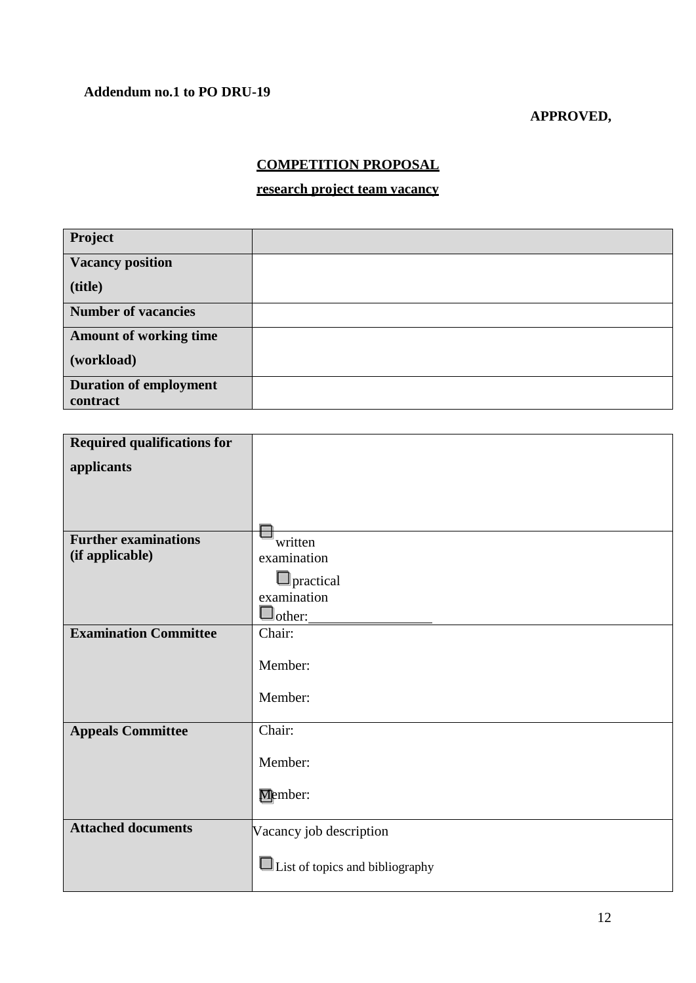## **Addendum no.1 to PO DRU-19**

## **APPROVED,**

## **COMPETITION PROPOSAL**

**research project team vacancy**

| Project                       |  |
|-------------------------------|--|
| <b>Vacancy position</b>       |  |
| (title)                       |  |
| <b>Number of vacancies</b>    |  |
| <b>Amount of working time</b> |  |
| (workload)                    |  |
| <b>Duration of employment</b> |  |
| contract                      |  |

| <b>Required qualifications for</b> |                                        |
|------------------------------------|----------------------------------------|
| applicants                         |                                        |
|                                    |                                        |
|                                    |                                        |
|                                    |                                        |
| <b>Further examinations</b>        | written                                |
| (if applicable)                    | examination                            |
|                                    | $\Box$ practical                       |
|                                    | examination                            |
|                                    | $\Box$ other:                          |
| <b>Examination Committee</b>       | Chair:                                 |
|                                    |                                        |
|                                    | Member:                                |
|                                    |                                        |
|                                    | Member:                                |
| <b>Appeals Committee</b>           | Chair:                                 |
|                                    |                                        |
|                                    | Member:                                |
|                                    |                                        |
|                                    | Member:                                |
|                                    |                                        |
| <b>Attached documents</b>          | Vacancy job description                |
|                                    |                                        |
|                                    | $\Box$ List of topics and bibliography |
|                                    |                                        |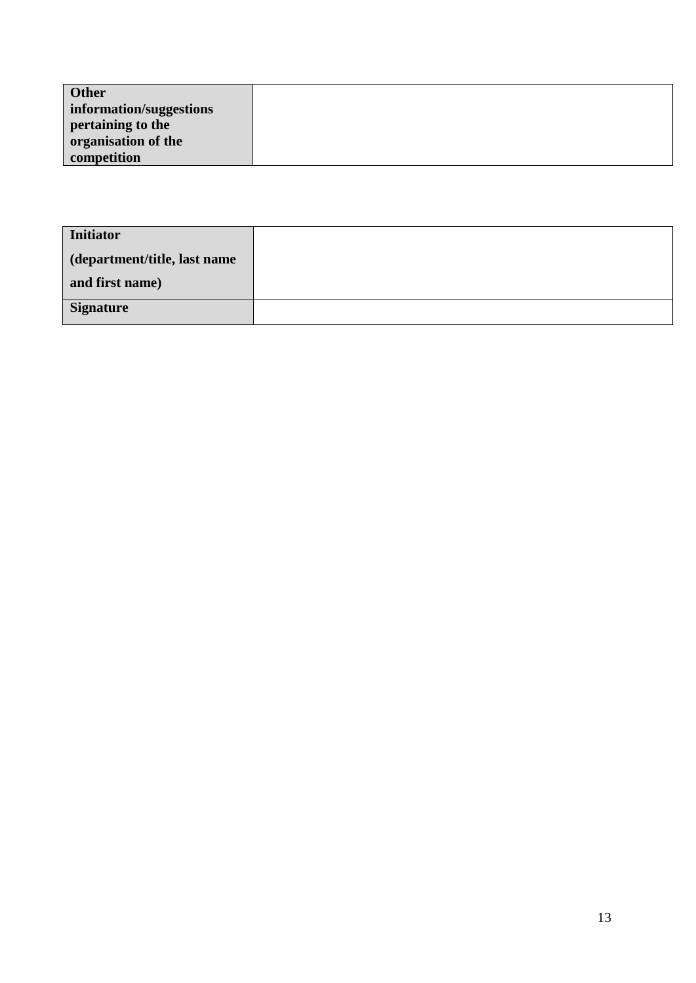| <b>Other</b>            |  |
|-------------------------|--|
| information/suggestions |  |
| pertaining to the       |  |
| organisation of the     |  |
| competition             |  |

| <b>Initiator</b>            |  |
|-----------------------------|--|
| department/title, last name |  |
| and first name)             |  |
| <b>Signature</b>            |  |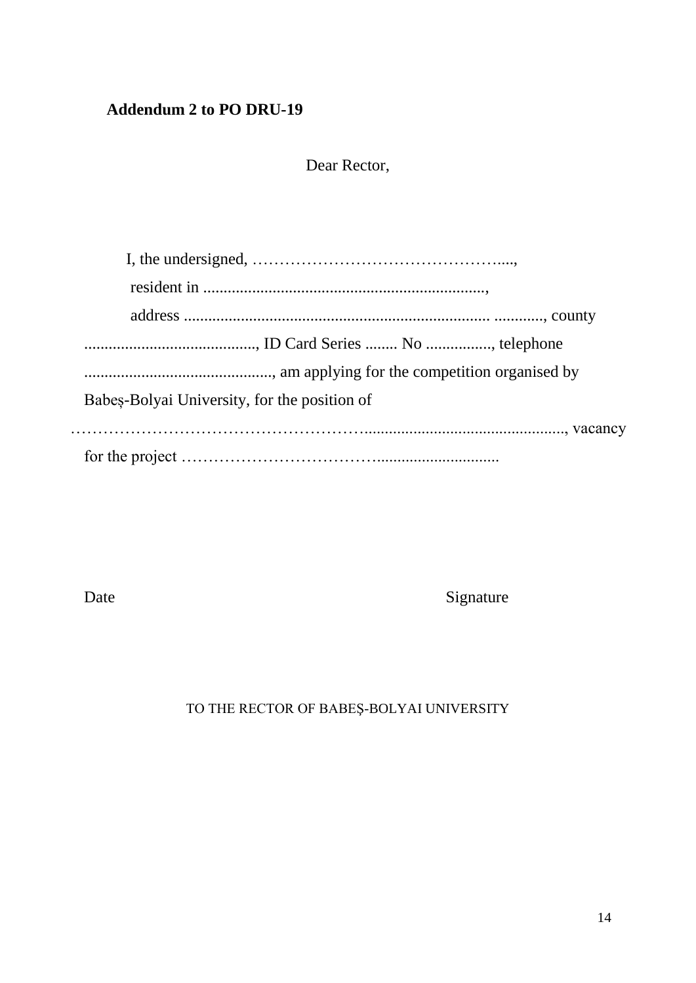# **Addendum 2 to PO DRU-19**

Dear Rector,

| Babes-Bolyai University, for the position of |
|----------------------------------------------|
|                                              |
|                                              |

Date Signature

TO THE RECTOR OF BABEŞ-BOLYAI UNIVERSITY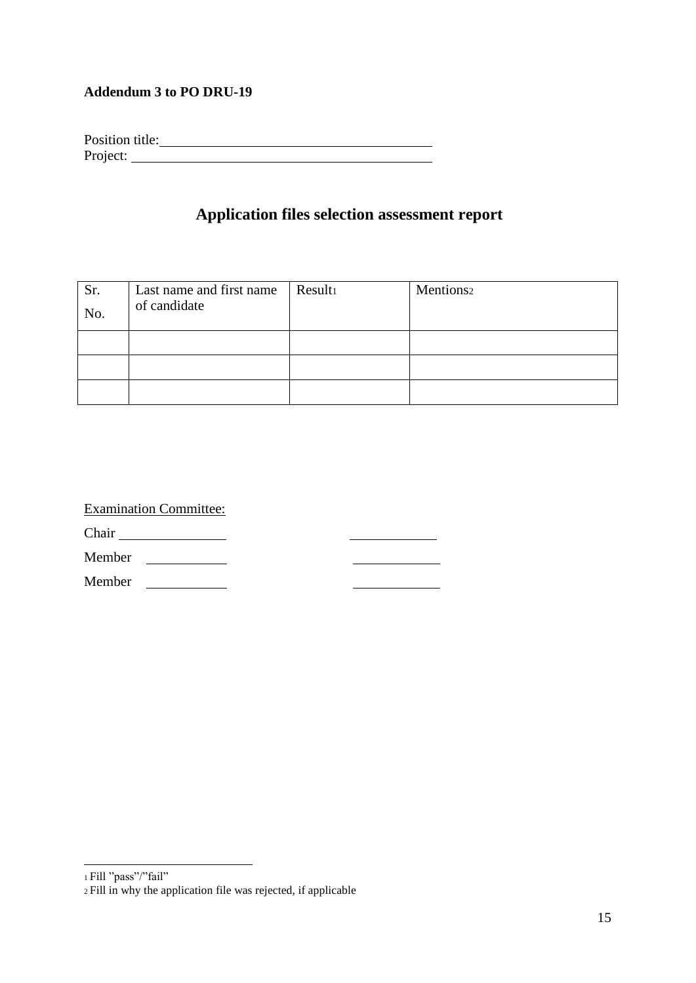## **Addendum 3 to PO DRU-19**

Position title: Project:

## **Application files selection assessment report**

| Sr.<br>No. | Last name and first name<br>of candidate | Result1 | Mentions <sub>2</sub> |
|------------|------------------------------------------|---------|-----------------------|
|            |                                          |         |                       |
|            |                                          |         |                       |
|            |                                          |         |                       |

| <b>Examination Committee:</b> |
|-------------------------------|
|-------------------------------|

| Chair  |  |  |
|--------|--|--|
| Member |  |  |
| Member |  |  |

<sup>1</sup>Fill "pass"/"fail"

<sup>2</sup> Fill in why the application file was rejected, if applicable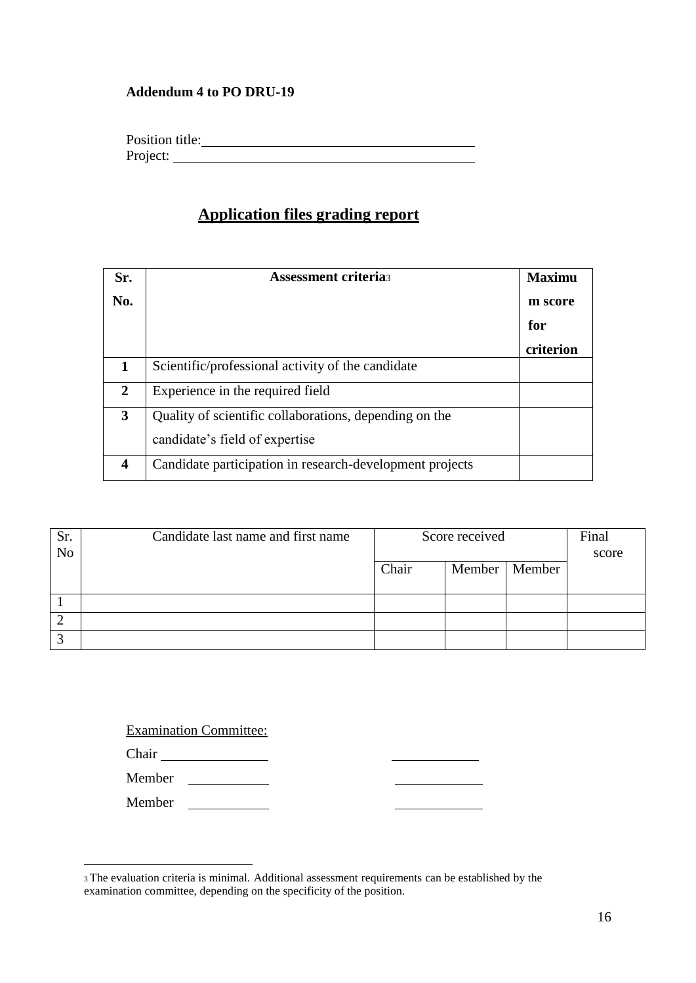### **Addendum 4 to PO DRU-19**

| Position title: |  |
|-----------------|--|
| Project:        |  |

# **Application files grading report**

| Sr. | <b>Assessment criterias</b>                              | <b>Maximu</b> |
|-----|----------------------------------------------------------|---------------|
| No. |                                                          |               |
|     |                                                          | for           |
|     |                                                          | criterion     |
| 1   | Scientific/professional activity of the candidate        |               |
| 2   | Experience in the required field                         |               |
| 3   | Quality of scientific collaborations, depending on the   |               |
|     | candidate's field of expertise                           |               |
| 4   | Candidate participation in research-development projects |               |

| Sr.<br>N <sub>o</sub> | Candidate last name and first name | Score received |                 | Final<br>score |  |
|-----------------------|------------------------------------|----------------|-----------------|----------------|--|
|                       |                                    | Chair          | Member   Member |                |  |
|                       |                                    |                |                 |                |  |
|                       |                                    |                |                 |                |  |
| ◠                     |                                    |                |                 |                |  |

Examination Committee:

- Chair
- Member

Member

<sup>3</sup> The evaluation criteria is minimal. Additional assessment requirements can be established by the examination committee, depending on the specificity of the position.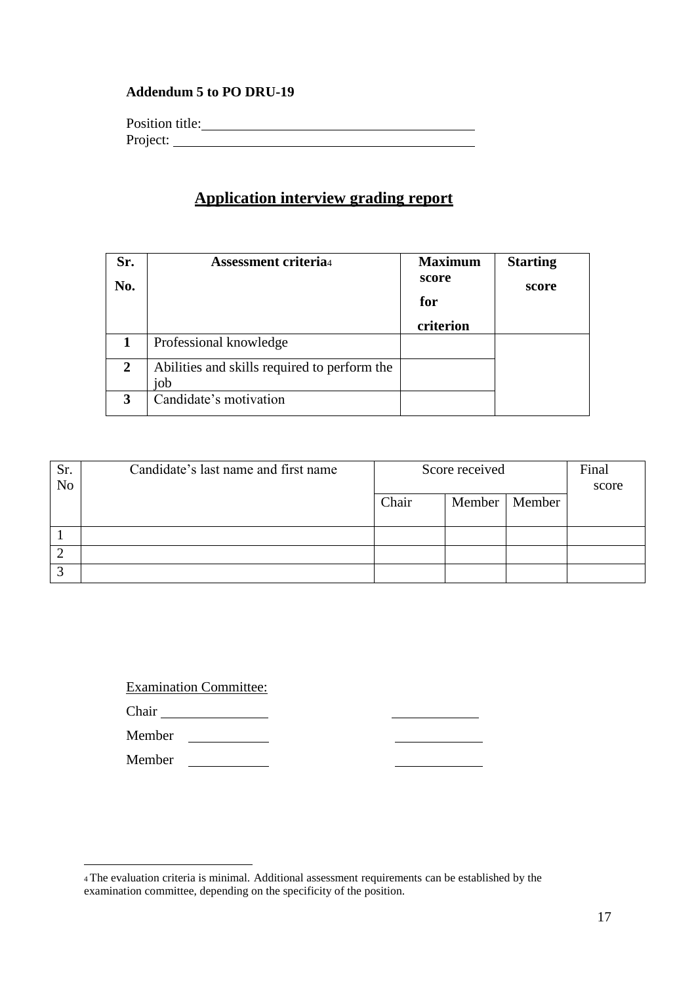### **Addendum 5 to PO DRU-19**

Position title: Note that the set of the set of the set of the set of the set of the set of the set of the set of the set of the set of the set of the set of the set of the set of the set of the set of the set of the set o Project:

# **Application interview grading report**

| Sr.            | <b>Assessment criteria4</b>                  | <b>Maximum</b> | <b>Starting</b> |
|----------------|----------------------------------------------|----------------|-----------------|
| No.            |                                              | score          | score           |
|                |                                              | for            |                 |
|                |                                              | criterion      |                 |
|                | Professional knowledge                       |                |                 |
| $\overline{2}$ | Abilities and skills required to perform the |                |                 |
|                | job                                          |                |                 |
| 3              | Candidate's motivation                       |                |                 |

| Sr.            | Candidate's last name and first name |       | Score received  |       | Final |
|----------------|--------------------------------------|-------|-----------------|-------|-------|
| N <sub>o</sub> |                                      |       |                 | score |       |
|                |                                      | Chair | Member   Member |       |       |
|                |                                      |       |                 |       |       |
|                |                                      |       |                 |       |       |
|                |                                      |       |                 |       |       |
|                |                                      |       |                 |       |       |

Examination Committee:

Chair

Member

Member

<sup>4</sup> The evaluation criteria is minimal. Additional assessment requirements can be established by the examination committee, depending on the specificity of the position.